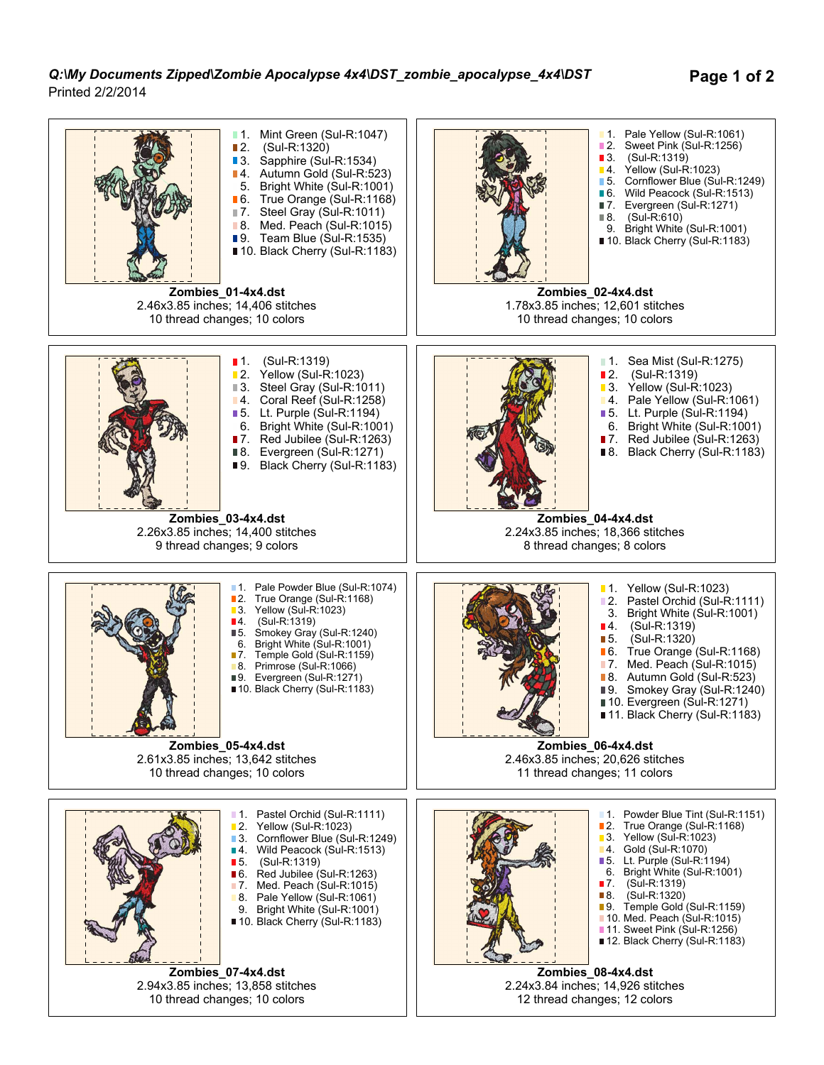